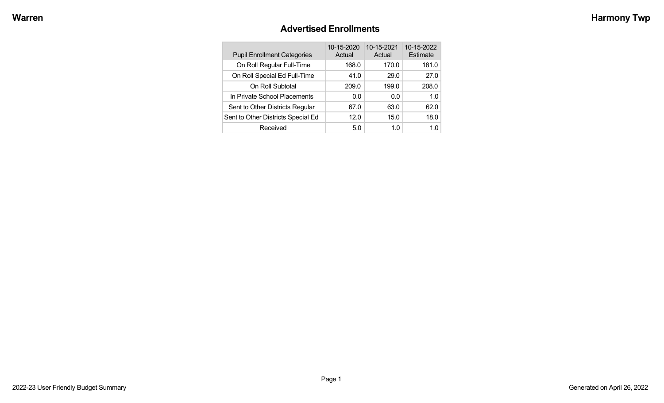#### **Advertised Enrollments**

| <b>Pupil Enrollment Categories</b> | 10-15-2020<br>Actual | 10-15-2021<br>Actual | 10-15-2022<br>Estimate |
|------------------------------------|----------------------|----------------------|------------------------|
| On Roll Regular Full-Time          | 168.0                | 170.0                | 181.0                  |
| On Roll Special Ed Full-Time       | 41.0                 | 29.0                 | 27.0                   |
| On Roll Subtotal                   | 209.0                | 199.0                | 208.0                  |
| In Private School Placements       | 0.0                  | 0.0                  | 1.0                    |
| Sent to Other Districts Regular    | 67.0                 | 63.0                 | 62.0                   |
| Sent to Other Districts Special Ed | 12.0                 | 15.0                 | 18.0                   |
| Received                           | 5.0                  | 1.0                  | 1 በ                    |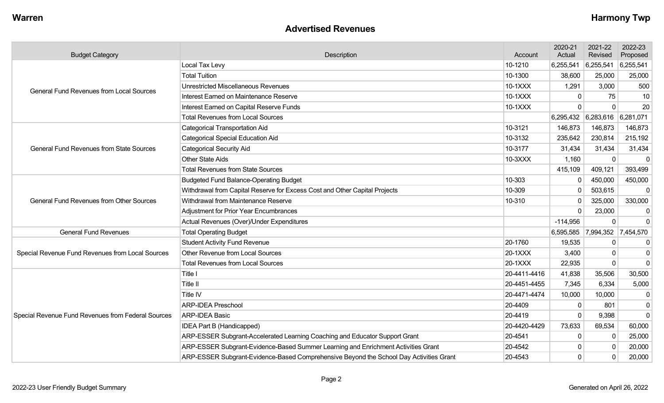#### **Advertised Revenues**

| <b>Budget Category</b>                             | Description                                                                            | Account      | 2020-21<br>Actual | 2021-22<br>Revised            | 2022-23<br>Proposed           |
|----------------------------------------------------|----------------------------------------------------------------------------------------|--------------|-------------------|-------------------------------|-------------------------------|
|                                                    | Local Tax Levy                                                                         | 10-1210      | 6,255,541         | 6,255,541                     | 6,255,541                     |
|                                                    | <b>Total Tuition</b>                                                                   | 10-1300      | 38,600            | 25,000                        | 25,000                        |
| <b>General Fund Revenues from Local Sources</b>    | <b>Unrestricted Miscellaneous Revenues</b>                                             | 10-1XXX      | 1,291             | 3,000                         | 500                           |
|                                                    | Interest Earned on Maintenance Reserve                                                 | 10-1XXX      | 0                 | 75                            | 10                            |
|                                                    | Interest Earned on Capital Reserve Funds                                               | 10-1XXX      | 0                 | $\mathbf 0$                   | 20                            |
|                                                    | <b>Total Revenues from Local Sources</b>                                               |              |                   | 6,295,432 6,283,616 6,281,071 |                               |
|                                                    | <b>Categorical Transportation Aid</b>                                                  | 10-3121      | 146,873           | 146,873                       | 146,873                       |
|                                                    | <b>Categorical Special Education Aid</b>                                               | 10-3132      | 235,642           | 230,814                       | 215,192                       |
| <b>General Fund Revenues from State Sources</b>    | <b>Categorical Security Aid</b>                                                        | 10-3177      | 31,434            | 31,434                        | 31,434                        |
|                                                    | <b>Other State Aids</b>                                                                | 10-3XXX      | 1,160             | $\Omega$                      | $\Omega$                      |
|                                                    | <b>Total Revenues from State Sources</b>                                               |              | 415,109           | 409,121                       | 393,499                       |
|                                                    | <b>Budgeted Fund Balance-Operating Budget</b>                                          | $10 - 303$   | $\Omega$          | 450,000                       | 450,000                       |
|                                                    | Withdrawal from Capital Reserve for Excess Cost and Other Capital Projects             | 10-309       | $\mathbf{0}$      | 503,615                       | $\mathbf 0$                   |
| <b>General Fund Revenues from Other Sources</b>    | Withdrawal from Maintenance Reserve                                                    | 10-310       | $\Omega$          | 325,000                       | 330,000                       |
|                                                    | Adjustment for Prior Year Encumbrances                                                 |              | $\Omega$          | 23,000                        | $\mathbf{0}$                  |
|                                                    | Actual Revenues (Over)/Under Expenditures                                              |              | $-114,956$        | 0                             | $\mathbf{0}$                  |
| <b>General Fund Revenues</b>                       | <b>Total Operating Budget</b>                                                          |              |                   |                               | 6,595,585 7,994,352 7,454,570 |
|                                                    | <b>Student Activity Fund Revenue</b>                                                   | 20-1760      | 19,535            | $\mathbf 0$                   | $\mathbf{0}$                  |
| Special Revenue Fund Revenues from Local Sources   | <b>Other Revenue from Local Sources</b>                                                | 20-1XXX      | 3,400             | $\mathbf 0$                   | $\mathbf 0$                   |
|                                                    | <b>Total Revenues from Local Sources</b>                                               | 20-1XXX      | 22,935            | $\mathbf 0$                   | $\mathbf 0$                   |
|                                                    | Title I                                                                                | 20-4411-4416 | 41,838            | 35,506                        | 30,500                        |
|                                                    | Title II                                                                               | 20-4451-4455 | 7,345             | 6,334                         | 5,000                         |
|                                                    | Title IV                                                                               | 20-4471-4474 | 10,000            | 10,000                        | $\mathbf{0}$                  |
|                                                    | <b>ARP-IDEA Preschool</b>                                                              | 20-4409      | $\mathbf 0$       | 801                           | $\mathbf 0$                   |
| Special Revenue Fund Revenues from Federal Sources | <b>ARP-IDEA Basic</b>                                                                  | 20-4419      | $\mathbf 0$       | 9,398                         | $\mathbf 0$                   |
|                                                    | IDEA Part B (Handicapped)                                                              | 20-4420-4429 | 73,633            | 69,534                        | 60,000                        |
|                                                    | ARP-ESSER Subgrant-Accelerated Learning Coaching and Educator Support Grant            | 20-4541      | $\mathbf 0$       | $\mathbf 0$                   | 25,000                        |
|                                                    | ARP-ESSER Subgrant-Evidence-Based Summer Learning and Enrichment Activities Grant      | 20-4542      | 0                 | $\mathbf{0}$                  | 20,000                        |
|                                                    | ARP-ESSER Subgrant-Evidence-Based Comprehensive Beyond the School Day Activities Grant | 20-4543      | $\Omega$          | 0                             | 20,000                        |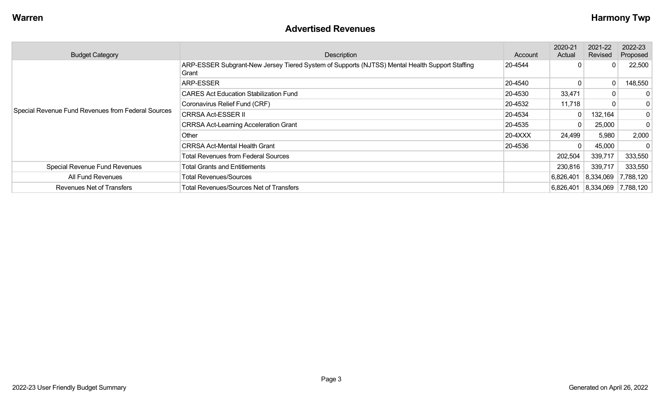#### **Advertised Revenues**

| <b>Budget Category</b>                             | Description                                                                                             | Account | 2020-21<br>Actual | 2021-22<br>Revised                | 2022-23<br>Proposed |
|----------------------------------------------------|---------------------------------------------------------------------------------------------------------|---------|-------------------|-----------------------------------|---------------------|
|                                                    | ARP-ESSER Subgrant-New Jersey Tiered System of Supports (NJTSS) Mental Health Support Staffing<br>Grant | 20-4544 |                   | 0                                 | 22,500              |
|                                                    | <b>ARP-ESSER</b>                                                                                        | 20-4540 |                   | $\Omega$                          | 148,550             |
|                                                    | <b>CARES Act Education Stabilization Fund</b>                                                           | 20-4530 | 33,471            | 0                                 | $\overline{0}$      |
| Special Revenue Fund Revenues from Federal Sources | Coronavirus Relief Fund (CRF)                                                                           | 20-4532 | 11,718            | 0                                 | $\overline{0}$      |
|                                                    | <b>CRRSA Act-ESSER II</b>                                                                               | 20-4534 | 0                 | 132,164                           | 0                   |
|                                                    | <b>CRRSA Act-Learning Acceleration Grant</b>                                                            | 20-4535 |                   | 25,000                            | 0                   |
|                                                    | Other                                                                                                   | 20-4XXX | 24,499            | 5,980                             | 2,000               |
|                                                    | <b>CRRSA Act-Mental Health Grant</b>                                                                    | 20-4536 |                   | 45,000                            | $\overline{0}$      |
|                                                    | <b>Total Revenues from Federal Sources</b>                                                              |         | 202,504           | 339,717                           | 333,550             |
| Special Revenue Fund Revenues                      | <b>Total Grants and Entitlements</b>                                                                    |         | 230,816           | 339,717                           | 333,550             |
| All Fund Revenues                                  | <b>Total Revenues/Sources</b>                                                                           |         |                   | $6,826,401$ $8,334,069$ 7,788,120 |                     |
| Revenues Net of Transfers                          | <b>Total Revenues/Sources Net of Transfers</b>                                                          |         |                   | 6,826,401 8,334,069 7,788,120     |                     |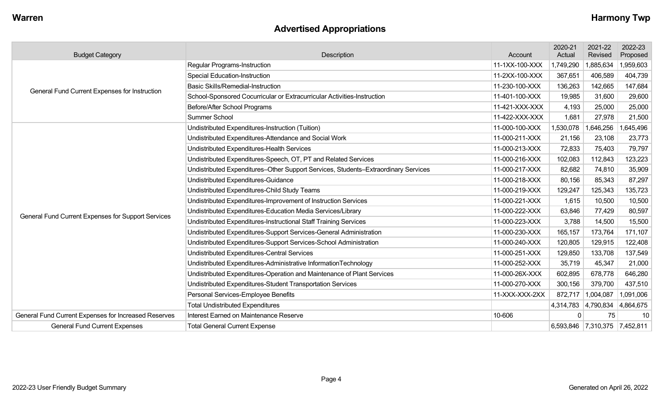# **Advertised Appropriations**

| <b>Budget Category</b>                               | Description                                                                        | Account        | 2020-21<br>Actual | 2021-22<br>Revised            | 2022-23<br>Proposed |
|------------------------------------------------------|------------------------------------------------------------------------------------|----------------|-------------------|-------------------------------|---------------------|
|                                                      | <b>Regular Programs-Instruction</b>                                                | 11-1XX-100-XXX | 1,749,290         | 885,634                       | 1,959,603           |
|                                                      | <b>Special Education-Instruction</b>                                               | 11-2XX-100-XXX | 367,651           | 406,589                       | 404,739             |
|                                                      | <b>Basic Skills/Remedial-Instruction</b><br>11-230-100-XXX                         |                | 136,263           | 142,665                       | 147,684             |
| General Fund Current Expenses for Instruction        | School-Sponsored Cocurricular or Extracurricular Activities-Instruction            | 11-401-100-XXX | 19,985            | 31,600                        | 29,600              |
|                                                      | Before/After School Programs                                                       | 11-421-XXX-XXX | 4,193             | 25,000                        | 25,000              |
|                                                      | <b>Summer School</b>                                                               | 11-422-XXX-XXX | 1,681             | 27,978                        | 21,500              |
|                                                      | Undistributed Expenditures-Instruction (Tuition)                                   | 11-000-100-XXX | 1,530,078         | ,646,256                      | ,645,496            |
|                                                      | Undistributed Expenditures-Attendance and Social Work                              | 11-000-211-XXX | 21,156            | 23,108                        | 23,773              |
|                                                      | Undistributed Expenditures-Health Services                                         | 11-000-213-XXX | 72,833            | 75,403                        | 79,797              |
|                                                      | Undistributed Expenditures-Speech, OT, PT and Related Services                     | 11-000-216-XXX | 102,083           | 112,843                       | 123,223             |
|                                                      | Undistributed Expenditures-Other Support Services, Students-Extraordinary Services | 11-000-217-XXX | 82,682            | 74,810                        | 35,909              |
|                                                      | Undistributed Expenditures-Guidance                                                | 11-000-218-XXX | 80,156            | 85,343                        | 87,297              |
|                                                      | Undistributed Expenditures-Child Study Teams                                       | 11-000-219-XXX | 129,247           | 125,343                       | 135,723             |
|                                                      | Undistributed Expenditures-Improvement of Instruction Services                     | 11-000-221-XXX | 1,615             | 10,500                        | 10,500              |
| General Fund Current Expenses for Support Services   | Undistributed Expenditures-Education Media Services/Library                        | 11-000-222-XXX | 63,846            | 77,429                        | 80,597              |
|                                                      | Undistributed Expenditures-Instructional Staff Training Services                   | 11-000-223-XXX | 3,788             | 14,500                        | 15,500              |
|                                                      | Undistributed Expenditures-Support Services-General Administration                 | 11-000-230-XXX | 165,157           | 173,764                       | 171,107             |
|                                                      | Undistributed Expenditures-Support Services-School Administration                  | 11-000-240-XXX | 120,805           | 129,915                       | 122,408             |
|                                                      | <b>Undistributed Expenditures-Central Services</b>                                 | 11-000-251-XXX | 129,850           | 133,708                       | 137,549             |
|                                                      | Undistributed Expenditures-Administrative InformationTechnology                    | 11-000-252-XXX | 35,719            | 45,347                        | 21,000              |
|                                                      | Undistributed Expenditures-Operation and Maintenance of Plant Services             | 11-000-26X-XXX | 602,895           | 678,778                       | 646,280             |
|                                                      | Undistributed Expenditures-Student Transportation Services                         | 11-000-270-XXX | 300,156           | 379,700                       | 437,510             |
|                                                      | Personal Services-Employee Benefits                                                | 11-XXX-XXX-2XX | 872,717           | 1,004,087                     | 1,091,006           |
|                                                      | <b>Total Undistributed Expenditures</b>                                            |                |                   | 4,314,783 4,790,834 4,864,675 |                     |
| General Fund Current Expenses for Increased Reserves | Interest Earned on Maintenance Reserve                                             | 10-606         | $\mathbf{0}$      | 75                            | 10                  |
| <b>General Fund Current Expenses</b>                 | <b>Total General Current Expense</b>                                               |                |                   | 6,593,846 7,310,375 7,452,811 |                     |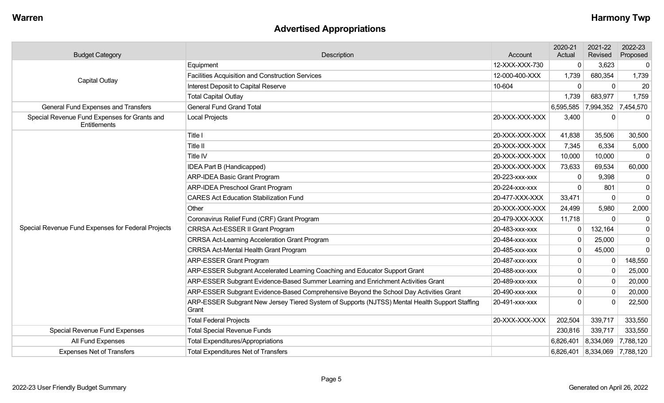# **Advertised Appropriations**

| <b>Budget Category</b>                                       | Description                                                                                             | Account        | 2020-21<br>Actual | 2021-22<br>Revised  | 2022-23<br>Proposed |
|--------------------------------------------------------------|---------------------------------------------------------------------------------------------------------|----------------|-------------------|---------------------|---------------------|
|                                                              | Equipment                                                                                               | 12-XXX-XXX-730 | 0                 | 3,623               | $\mathbf 0$         |
| <b>Capital Outlay</b>                                        | <b>Facilities Acquisition and Construction Services</b>                                                 | 12-000-400-XXX | 1,739             | 680,354             | 1,739               |
|                                                              | Interest Deposit to Capital Reserve                                                                     | 10-604         | $\mathbf{0}$      | $\mathbf{0}$        | 20                  |
|                                                              | <b>Total Capital Outlay</b>                                                                             |                | 1,739             | 683,977             | 1,759               |
| <b>General Fund Expenses and Transfers</b>                   | <b>General Fund Grand Total</b>                                                                         |                | 6,595,585         | 7,994,352 7,454,570 |                     |
| Special Revenue Fund Expenses for Grants and<br>Entitlements | Local Projects                                                                                          | 20-XXX-XXX-XXX | 3,400             | 0                   | -0                  |
|                                                              | Title I                                                                                                 | 20-XXX-XXX-XXX | 41,838            | 35,506              | 30,500              |
|                                                              | Title II                                                                                                | 20-XXX-XXX-XXX | 7,345             | 6,334               | 5,000               |
|                                                              | Title IV                                                                                                | 20-XXX-XXX-XXX | 10,000            | 10,000              | $\Omega$            |
|                                                              | IDEA Part B (Handicapped)                                                                               | 20-XXX-XXX-XXX | 73,633            | 69,534              | 60,000              |
|                                                              | <b>ARP-IDEA Basic Grant Program</b>                                                                     | 20-223-xxx-xxx | 0                 | 9,398               | 0                   |
|                                                              | ARP-IDEA Preschool Grant Program                                                                        | 20-224-XXX-XXX | $\Omega$          | 801                 | 0                   |
|                                                              | <b>CARES Act Education Stabilization Fund</b>                                                           | 20-477-XXX-XXX | 33,471            | 0                   | $\mathbf{0}$        |
|                                                              | Other                                                                                                   | 20-XXX-XXX-XXX | 24,499            | 5,980               | 2,000               |
|                                                              | Coronavirus Relief Fund (CRF) Grant Program                                                             | 20-479-XXX-XXX | 11,718            | $\mathbf{0}$        | 0                   |
| Special Revenue Fund Expenses for Federal Projects           | CRRSA Act-ESSER II Grant Program                                                                        | 20-483-xxx-xxx | 0                 | 132,164             | 0                   |
|                                                              | <b>CRRSA Act-Learning Acceleration Grant Program</b>                                                    | 20-484-xxx-xxx | $\mathbf 0$       | 25,000              | 0                   |
|                                                              | <b>CRRSA Act-Mental Health Grant Program</b>                                                            | 20-485-xxx-xxx | $\mathbf{0}$      | 45,000              | $\mathbf 0$         |
|                                                              | <b>ARP-ESSER Grant Program</b>                                                                          | 20-487-XXX-XXX | $\mathbf 0$       | 0                   | 148,550             |
|                                                              | ARP-ESSER Subgrant Accelerated Learning Coaching and Educator Support Grant                             | 20-488-xxx-xxx | 0                 | 0                   | 25,000              |
|                                                              | ARP-ESSER Subgrant Evidence-Based Summer Learning and Enrichment Activities Grant                       | 20-489-xxx-xxx | $\mathbf 0$       | $\mathbf 0$         | 20,000              |
|                                                              | ARP-ESSER Subgrant Evidence-Based Comprehensive Beyond the School Day Activities Grant                  | 20-490-xxx-xxx | $\mathbf 0$       | $\mathbf 0$         | 20,000              |
|                                                              | ARP-ESSER Subgrant New Jersey Tiered System of Supports (NJTSS) Mental Health Support Staffing<br>Grant | 20-491-xxx-xxx | $\mathbf{0}$      | 0                   | 22,500              |
|                                                              | <b>Total Federal Projects</b>                                                                           | 20-XXX-XXX-XXX | 202,504           | 339,717             | 333,550             |
| <b>Special Revenue Fund Expenses</b>                         | <b>Total Special Revenue Funds</b>                                                                      |                | 230,816           | 339,717             | 333,550             |
| All Fund Expenses                                            | <b>Total Expenditures/Appropriations</b>                                                                |                | 6,826,401         | 8,334,069           | 7,788,120           |
| <b>Expenses Net of Transfers</b>                             | <b>Total Expenditures Net of Transfers</b>                                                              |                | 6,826,401         | 8,334,069 7,788,120 |                     |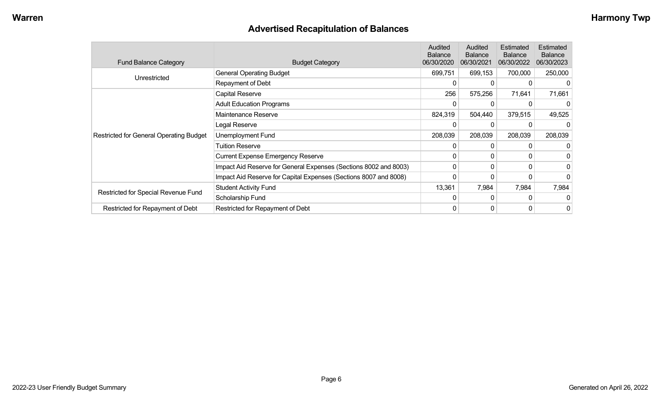# **Advertised Recapitulation of Balances**

| <b>Fund Balance Category</b>                   | <b>Budget Category</b>                                           | Audited<br><b>Balance</b><br>06/30/2020 | Audited<br><b>Balance</b><br>06/30/2021 | Estimated<br><b>Balance</b><br>06/30/2022 | <b>Estimated</b><br><b>Balance</b><br>06/30/2023 |
|------------------------------------------------|------------------------------------------------------------------|-----------------------------------------|-----------------------------------------|-------------------------------------------|--------------------------------------------------|
|                                                | <b>General Operating Budget</b>                                  | 699,751                                 | 699,153                                 | 700,000                                   | 250,000                                          |
| Unrestricted                                   | Repayment of Debt                                                | 0                                       | 0                                       |                                           |                                                  |
|                                                | Capital Reserve                                                  | 256                                     | 575,256                                 | 71,641                                    | 71,661                                           |
|                                                | <b>Adult Education Programs</b>                                  | 0                                       | 0                                       |                                           |                                                  |
|                                                | Maintenance Reserve                                              | 824,319                                 | 504,440                                 | 379,515                                   | 49,525                                           |
|                                                | Legal Reserve                                                    | 0                                       | $\Omega$                                |                                           |                                                  |
| <b>Restricted for General Operating Budget</b> | Unemployment Fund                                                | 208,039                                 | 208,039                                 | 208,039                                   | 208,039                                          |
|                                                | <b>Tuition Reserve</b>                                           | 0                                       | $\Omega$                                | 0                                         |                                                  |
|                                                | <b>Current Expense Emergency Reserve</b>                         | 0                                       | 0                                       | 0                                         |                                                  |
|                                                | Impact Aid Reserve for General Expenses (Sections 8002 and 8003) | 0                                       | $\Omega$                                | 0                                         |                                                  |
|                                                | Impact Aid Reserve for Capital Expenses (Sections 8007 and 8008) | 0                                       | 0                                       |                                           |                                                  |
|                                                | <b>Student Activity Fund</b>                                     | 13,361                                  | 7,984                                   | 7,984                                     | 7,984                                            |
| Restricted for Special Revenue Fund            | Scholarship Fund                                                 | $\Omega$                                | $\Omega$                                | 0                                         |                                                  |
| Restricted for Repayment of Debt               | Restricted for Repayment of Debt                                 | 0                                       | 0                                       | 0                                         | 0                                                |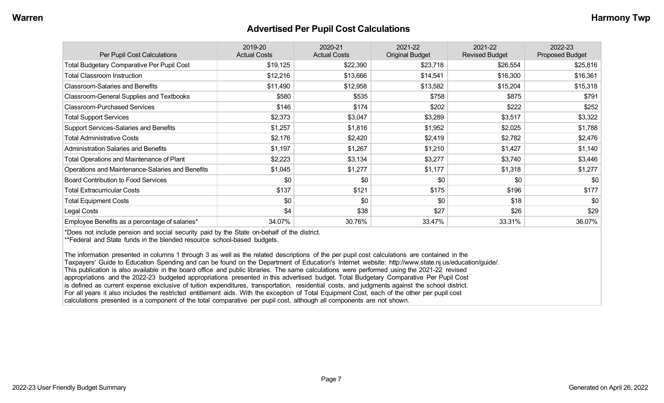#### **Advertised Per Pupil Cost Calculations**

| Per Pupil Cost Calculations                       | 2019-20<br><b>Actual Costs</b> | 2020-21<br><b>Actual Costs</b> | 2021-22<br><b>Original Budget</b> | 2021-22<br><b>Revised Budget</b> | 2022-23<br><b>Proposed Budget</b> |
|---------------------------------------------------|--------------------------------|--------------------------------|-----------------------------------|----------------------------------|-----------------------------------|
| <b>Total Budgetary Comparative Per Pupil Cost</b> | \$19,125                       | \$22,390                       | \$23,718                          | \$26,554                         | \$25,816                          |
| <b>Total Classroom Instruction</b>                | \$12,216                       | \$13,666                       | \$14,541                          | \$16,300                         | \$16,361                          |
| <b>Classroom-Salaries and Benefits</b>            | \$11,490                       | \$12,958                       | \$13,582                          | \$15,204                         | \$15,318                          |
| Classroom-General Supplies and Textbooks          | \$580                          | \$535                          | \$758                             | \$875                            | \$791                             |
| <b>Classroom-Purchased Services</b>               | \$146                          | \$174                          | \$202                             | \$222                            | \$252                             |
| <b>Total Support Services</b>                     | \$2,373                        | \$3,047                        | \$3,289                           | \$3,517                          | \$3,322                           |
| Support Services-Salaries and Benefits            | \$1,257                        | \$1,816                        | \$1,952                           | \$2,025                          | \$1,788                           |
| <b>Total Administrative Costs</b>                 | \$2,176                        | \$2,420                        | \$2,419                           | \$2,782                          | \$2,476                           |
| <b>Administration Salaries and Benefits</b>       | \$1,197                        | \$1,267                        | \$1,210                           | \$1,427                          | \$1,140                           |
| Total Operations and Maintenance of Plant         | \$2,223                        | \$3,134                        | \$3,277                           | \$3,740                          | \$3,446                           |
| Operations and Maintenance-Salaries and Benefits  | \$1,045                        | \$1,277                        | \$1,177                           | \$1,318                          | \$1,277                           |
| <b>Board Contribution to Food Services</b>        | \$0                            | \$0                            | \$0                               | \$0                              | \$0                               |
| <b>Total Extracurricular Costs</b>                | \$137                          | \$121                          | \$175                             | \$196                            | \$177                             |
| <b>Total Equipment Costs</b>                      | \$0                            | \$0                            | \$0                               | \$18                             | \$0                               |
| Legal Costs                                       | \$4                            | \$38                           | \$27                              | \$26                             | \$29                              |
| Employee Benefits as a percentage of salaries*    | 34.07%                         | 30.76%                         | 33.47%                            | 33.31%                           | 36.07%                            |

\*Does not include pension and social security paid by the State on-behalf of the district.

\*\*Federal and State funds in the blended resource school-based budgets.

The information presented in columns 1 through 3 as well as the related descriptions of the per pupil cost calculations are contained in the Taxpayers' Guide to Education Spending and can be found on the Department of Education's Internet website: http://www.state.nj.us/education/guide/. This publication is also available in the board office and public libraries. The same calculations were performed using the 2021-22 revised appropriations and the 2022-23 budgeted appropriations presented in this advertised budget. Total Budgetary Comparative Per Pupil Cost is defined as current expense exclusive of tuition expenditures, transportation, residential costs, and judgments against the school district. For all years it also includes the restricted entitlement aids. With the exception of Total Equipment Cost, each of the other per pupil cost calculations presented is a component of the total comparative per pupil cost, although all components are not shown.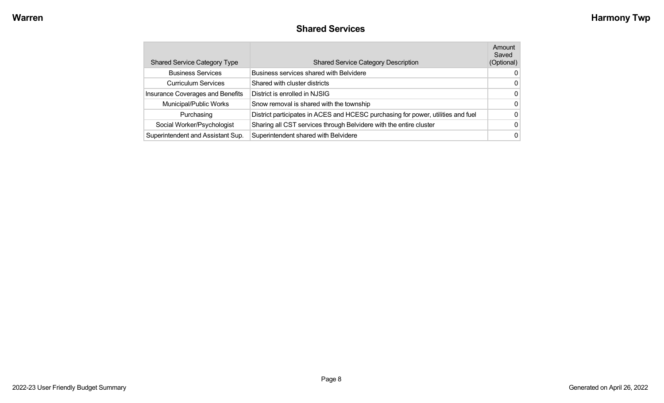# **Shared Services**

| <b>Shared Service Category Type</b>     | <b>Shared Service Category Description</b>                                       | Amount<br>Saved<br>(Optional) |
|-----------------------------------------|----------------------------------------------------------------------------------|-------------------------------|
| <b>Business Services</b>                | Business services shared with Belvidere                                          | 0                             |
| <b>Curriculum Services</b>              | Shared with cluster districts                                                    | $\Omega$                      |
| <b>Insurance Coverages and Benefits</b> | District is enrolled in NJSIG                                                    | $\Omega$                      |
| Municipal/Public Works                  | Snow removal is shared with the township                                         | $\Omega$                      |
| Purchasing                              | District participates in ACES and HCESC purchasing for power, utilities and fuel | $\Omega$                      |
| Social Worker/Psychologist              | Sharing all CST services through Belvidere with the entire cluster               | $\Omega$                      |
| Superintendent and Assistant Sup.       | Superintendent shared with Belvidere                                             | $\Omega$                      |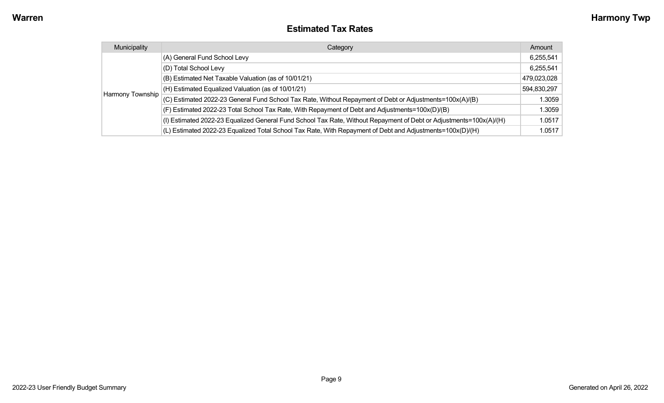#### **Estimated Tax Rates**

| Municipality     | Category                                                                                                           | Amount      |
|------------------|--------------------------------------------------------------------------------------------------------------------|-------------|
| Harmony Township | (A) General Fund School Levy                                                                                       | 6,255,541   |
|                  | (D) Total School Levy                                                                                              | 6,255,541   |
|                  | (B) Estimated Net Taxable Valuation (as of 10/01/21)                                                               | 479,023,028 |
|                  | (H) Estimated Equalized Valuation (as of 10/01/21)                                                                 | 594,830,297 |
|                  | (C) Estimated 2022-23 General Fund School Tax Rate, Without Repayment of Debt or Adjustments=100x(A)/(B)           | 1.3059      |
|                  | (F) Estimated 2022-23 Total School Tax Rate, With Repayment of Debt and Adjustments=100x(D)/(B)                    | 1.3059      |
|                  | (I) Estimated 2022-23 Equalized General Fund School Tax Rate, Without Repayment of Debt or Adjustments=100x(A)/(H) | 1.0517      |
|                  | (L) Estimated 2022-23 Equalized Total School Tax Rate, With Repayment of Debt and Adjustments=100x(D)/(H)          | 1.0517      |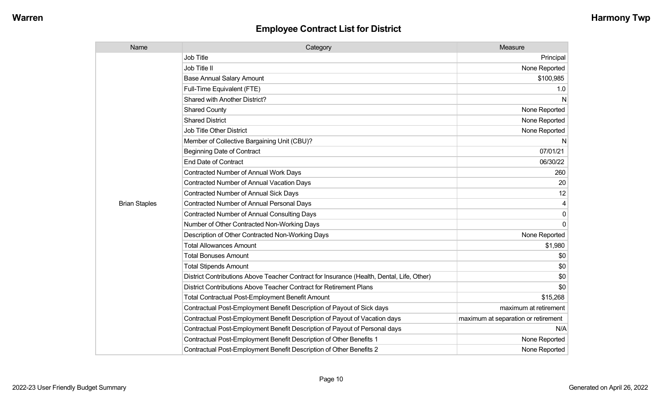| Name                 | Category                                                                                  | Measure                             |
|----------------------|-------------------------------------------------------------------------------------------|-------------------------------------|
|                      | <b>Job Title</b>                                                                          | Principal                           |
|                      | Job Title II                                                                              | None Reported                       |
|                      | <b>Base Annual Salary Amount</b>                                                          | \$100,985                           |
|                      | Full-Time Equivalent (FTE)                                                                | 1.0                                 |
|                      | Shared with Another District?                                                             | N                                   |
|                      | <b>Shared County</b>                                                                      | None Reported                       |
|                      | <b>Shared District</b>                                                                    | None Reported                       |
|                      | <b>Job Title Other District</b>                                                           | None Reported                       |
|                      | Member of Collective Bargaining Unit (CBU)?                                               | N                                   |
|                      | <b>Beginning Date of Contract</b>                                                         | 07/01/21                            |
|                      | <b>End Date of Contract</b>                                                               | 06/30/22                            |
|                      | <b>Contracted Number of Annual Work Days</b>                                              | 260                                 |
|                      | <b>Contracted Number of Annual Vacation Days</b>                                          | 20                                  |
|                      | Contracted Number of Annual Sick Days                                                     | 12                                  |
| <b>Brian Staples</b> | <b>Contracted Number of Annual Personal Days</b>                                          | 4                                   |
|                      | <b>Contracted Number of Annual Consulting Days</b>                                        | 0                                   |
|                      | Number of Other Contracted Non-Working Days                                               | $\Omega$                            |
|                      | Description of Other Contracted Non-Working Days                                          | None Reported                       |
|                      | <b>Total Allowances Amount</b>                                                            | \$1,980                             |
|                      | <b>Total Bonuses Amount</b>                                                               | \$0                                 |
|                      | <b>Total Stipends Amount</b>                                                              | \$0                                 |
|                      | District Contributions Above Teacher Contract for Insurance (Health, Dental, Life, Other) | \$0                                 |
|                      | District Contributions Above Teacher Contract for Retirement Plans                        | \$0                                 |
|                      | <b>Total Contractual Post-Employment Benefit Amount</b>                                   | \$15,268                            |
|                      | Contractual Post-Employment Benefit Description of Payout of Sick days                    | maximum at retirement               |
|                      | Contractual Post-Employment Benefit Description of Payout of Vacation days                | maximum at separation or retirement |
|                      | Contractual Post-Employment Benefit Description of Payout of Personal days                | N/A                                 |
|                      | Contractual Post-Employment Benefit Description of Other Benefits 1                       | None Reported                       |
|                      | Contractual Post-Employment Benefit Description of Other Benefits 2                       | None Reported                       |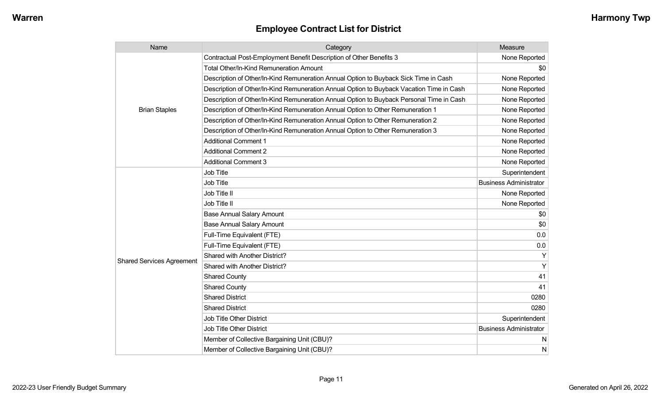| Name                             | Category                                                                                 | Measure                       |
|----------------------------------|------------------------------------------------------------------------------------------|-------------------------------|
|                                  | Contractual Post-Employment Benefit Description of Other Benefits 3                      | None Reported                 |
|                                  | Total Other/In-Kind Remuneration Amount                                                  | \$0                           |
|                                  | Description of Other/In-Kind Remuneration Annual Option to Buyback Sick Time in Cash     | None Reported                 |
|                                  | Description of Other/In-Kind Remuneration Annual Option to Buyback Vacation Time in Cash | None Reported                 |
|                                  | Description of Other/In-Kind Remuneration Annual Option to Buyback Personal Time in Cash | None Reported                 |
| <b>Brian Staples</b>             | Description of Other/In-Kind Remuneration Annual Option to Other Remuneration 1          | None Reported                 |
|                                  | Description of Other/In-Kind Remuneration Annual Option to Other Remuneration 2          | None Reported                 |
|                                  | Description of Other/In-Kind Remuneration Annual Option to Other Remuneration 3          | None Reported                 |
|                                  | <b>Additional Comment 1</b>                                                              | None Reported                 |
|                                  | <b>Additional Comment 2</b>                                                              | None Reported                 |
|                                  | <b>Additional Comment 3</b>                                                              | None Reported                 |
|                                  | <b>Job Title</b>                                                                         | Superintendent                |
|                                  | Job Title                                                                                | <b>Business Administrator</b> |
|                                  | Job Title II                                                                             | None Reported                 |
|                                  | Job Title II                                                                             | None Reported                 |
|                                  | <b>Base Annual Salary Amount</b>                                                         | \$0                           |
|                                  | <b>Base Annual Salary Amount</b>                                                         | \$0                           |
|                                  | Full-Time Equivalent (FTE)                                                               | 0.0                           |
|                                  | Full-Time Equivalent (FTE)                                                               | 0.0                           |
|                                  | Shared with Another District?                                                            | Y                             |
| <b>Shared Services Agreement</b> | Shared with Another District?                                                            | Y                             |
|                                  | <b>Shared County</b>                                                                     | 41                            |
|                                  | <b>Shared County</b>                                                                     | 41                            |
|                                  | <b>Shared District</b>                                                                   | 0280                          |
|                                  | <b>Shared District</b>                                                                   | 0280                          |
|                                  | <b>Job Title Other District</b>                                                          | Superintendent                |
|                                  | <b>Job Title Other District</b>                                                          | <b>Business Administrator</b> |
|                                  | Member of Collective Bargaining Unit (CBU)?                                              | N                             |
|                                  | Member of Collective Bargaining Unit (CBU)?                                              | N                             |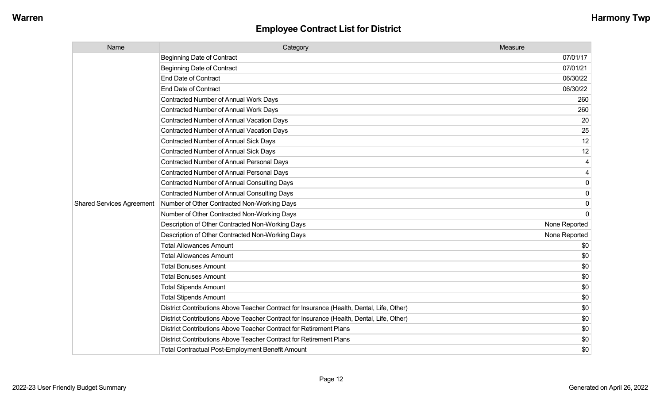| Name                             | Category                                                                                  | Measure       |
|----------------------------------|-------------------------------------------------------------------------------------------|---------------|
|                                  | <b>Beginning Date of Contract</b>                                                         | 07/01/17      |
|                                  | <b>Beginning Date of Contract</b>                                                         | 07/01/21      |
|                                  | <b>End Date of Contract</b>                                                               | 06/30/22      |
|                                  | <b>End Date of Contract</b>                                                               | 06/30/22      |
|                                  | Contracted Number of Annual Work Days                                                     | 260           |
|                                  | <b>Contracted Number of Annual Work Days</b>                                              | 260           |
|                                  | Contracted Number of Annual Vacation Days                                                 | 20            |
|                                  | <b>Contracted Number of Annual Vacation Days</b>                                          | 25            |
|                                  | Contracted Number of Annual Sick Days                                                     | 12            |
|                                  | <b>Contracted Number of Annual Sick Days</b>                                              | 12            |
|                                  | <b>Contracted Number of Annual Personal Days</b>                                          |               |
|                                  | Contracted Number of Annual Personal Days                                                 |               |
|                                  | <b>Contracted Number of Annual Consulting Days</b>                                        | $\mathbf 0$   |
|                                  | <b>Contracted Number of Annual Consulting Days</b>                                        | $\mathbf{0}$  |
| <b>Shared Services Agreement</b> | Number of Other Contracted Non-Working Days                                               | 0             |
|                                  | Number of Other Contracted Non-Working Days                                               | $\Omega$      |
|                                  | Description of Other Contracted Non-Working Days                                          | None Reported |
|                                  | Description of Other Contracted Non-Working Days                                          | None Reported |
|                                  | <b>Total Allowances Amount</b>                                                            | \$0           |
|                                  | <b>Total Allowances Amount</b>                                                            | \$0           |
|                                  | <b>Total Bonuses Amount</b>                                                               | \$0           |
|                                  | <b>Total Bonuses Amount</b>                                                               | \$0           |
|                                  | <b>Total Stipends Amount</b>                                                              | \$0           |
|                                  | <b>Total Stipends Amount</b>                                                              | $\$0$         |
|                                  | District Contributions Above Teacher Contract for Insurance (Health, Dental, Life, Other) | $\$0$         |
|                                  | District Contributions Above Teacher Contract for Insurance (Health, Dental, Life, Other) | \$0           |
|                                  | District Contributions Above Teacher Contract for Retirement Plans                        | \$0           |
|                                  | District Contributions Above Teacher Contract for Retirement Plans                        | \$0           |
|                                  | <b>Total Contractual Post-Employment Benefit Amount</b>                                   | \$0           |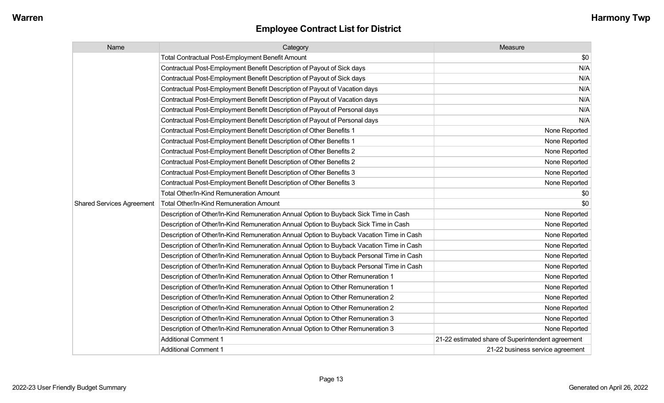| Name                             | Category                                                                                 | Measure                                           |
|----------------------------------|------------------------------------------------------------------------------------------|---------------------------------------------------|
| <b>Shared Services Agreement</b> | Total Contractual Post-Employment Benefit Amount                                         | \$0                                               |
|                                  | Contractual Post-Employment Benefit Description of Payout of Sick days                   | N/A                                               |
|                                  | Contractual Post-Employment Benefit Description of Payout of Sick days                   | N/A                                               |
|                                  | Contractual Post-Employment Benefit Description of Payout of Vacation days               | N/A                                               |
|                                  | Contractual Post-Employment Benefit Description of Payout of Vacation days               | N/A                                               |
|                                  | Contractual Post-Employment Benefit Description of Payout of Personal days               | N/A                                               |
|                                  | Contractual Post-Employment Benefit Description of Payout of Personal days               | N/A                                               |
|                                  | Contractual Post-Employment Benefit Description of Other Benefits 1                      | None Reported                                     |
|                                  | Contractual Post-Employment Benefit Description of Other Benefits 1                      | None Reported                                     |
|                                  | Contractual Post-Employment Benefit Description of Other Benefits 2                      | None Reported                                     |
|                                  | Contractual Post-Employment Benefit Description of Other Benefits 2                      | None Reported                                     |
|                                  | Contractual Post-Employment Benefit Description of Other Benefits 3                      | None Reported                                     |
|                                  | Contractual Post-Employment Benefit Description of Other Benefits 3                      | None Reported                                     |
|                                  | <b>Total Other/In-Kind Remuneration Amount</b>                                           | \$0                                               |
|                                  | Total Other/In-Kind Remuneration Amount                                                  | \$0                                               |
|                                  | Description of Other/In-Kind Remuneration Annual Option to Buyback Sick Time in Cash     | None Reported                                     |
|                                  | Description of Other/In-Kind Remuneration Annual Option to Buyback Sick Time in Cash     | None Reported                                     |
|                                  | Description of Other/In-Kind Remuneration Annual Option to Buyback Vacation Time in Cash | None Reported                                     |
|                                  | Description of Other/In-Kind Remuneration Annual Option to Buyback Vacation Time in Cash | None Reported                                     |
|                                  | Description of Other/In-Kind Remuneration Annual Option to Buyback Personal Time in Cash | None Reported                                     |
|                                  | Description of Other/In-Kind Remuneration Annual Option to Buyback Personal Time in Cash | None Reported                                     |
|                                  | Description of Other/In-Kind Remuneration Annual Option to Other Remuneration 1          | None Reported                                     |
|                                  | Description of Other/In-Kind Remuneration Annual Option to Other Remuneration 1          | None Reported                                     |
|                                  | Description of Other/In-Kind Remuneration Annual Option to Other Remuneration 2          | None Reported                                     |
|                                  | Description of Other/In-Kind Remuneration Annual Option to Other Remuneration 2          | None Reported                                     |
|                                  | Description of Other/In-Kind Remuneration Annual Option to Other Remuneration 3          | None Reported                                     |
|                                  | Description of Other/In-Kind Remuneration Annual Option to Other Remuneration 3          | None Reported                                     |
|                                  | <b>Additional Comment 1</b>                                                              | 21-22 estimated share of Superintendent agreement |
|                                  | <b>Additional Comment 1</b>                                                              | 21-22 business service agreement                  |